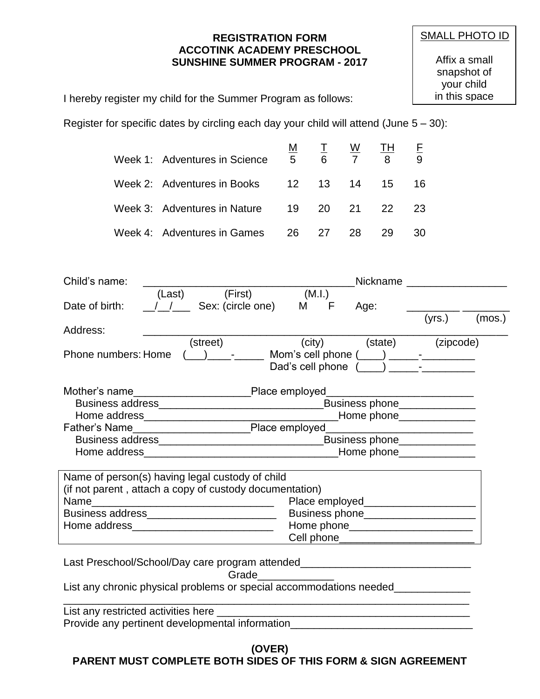## **REGISTRATION FORM ACCOTINK ACADEMY PRESCHOOL SUNSHINE SUMMER PROGRAM - 2017**

Affix a small snapshot of your child in this space

I hereby register my child for the Summer Program as follows:

Register for specific dates by circling each day your child will attend (June  $5 - 30$ ):

| Week 1: Adventures in Science | M<br>5 <sub>5</sub> | 6     | <u>W</u> | <u> TH</u><br>$\mathbf{8}$ | 9  |
|-------------------------------|---------------------|-------|----------|----------------------------|----|
| Week 2: Adventures in Books   |                     |       | 12 13 14 | 15                         | 16 |
| Week 3: Adventures in Nature  |                     | 19 20 | 21       | 22 <sub>2</sub>            | 23 |
| Week 4: Adventures in Games   |                     | 26 27 | 28.      | 29                         | 30 |

| Child's name:           |        |                   |                    | Nickname        |           |        |
|-------------------------|--------|-------------------|--------------------|-----------------|-----------|--------|
|                         | (Last) | (First)           | (M.I.)             |                 |           |        |
| Date of birth:          |        | Sex: (circle one) | M<br>F             | Age:            |           |        |
|                         |        |                   |                    |                 | (yrs.)    | (mos.) |
| Address:                |        |                   |                    |                 |           |        |
|                         |        | (street)          | (city)             | (state)         | (zipcode) |        |
| Phone numbers: Home     |        |                   | Mom's cell phone ( |                 |           |        |
|                         |        |                   | Dad's cell phone   |                 |           |        |
| Mother's name           |        |                   | Place employed     |                 |           |        |
| <b>Business address</b> |        |                   |                    | Business phone_ |           |        |
| Home address            |        |                   |                    |                 |           |        |
|                         |        |                   |                    | Home phone      |           |        |
| Father's Name           |        |                   | Place employed     |                 |           |        |
| <b>Business address</b> |        |                   |                    | Business phone  |           |        |
|                         |        |                   |                    |                 |           |        |

| Home address                                            | Home phone     |
|---------------------------------------------------------|----------------|
|                                                         |                |
| Name of person(s) having legal custody of child         |                |
| (if not parent, attach a copy of custody documentation) |                |
| Name                                                    | Place employed |
| <b>Business address</b>                                 | Business phone |
| Home address                                            | Home phone     |

Cell phone\_\_\_\_\_\_\_\_\_\_\_\_\_\_\_\_\_\_\_\_\_\_\_

Last Preschool/School/Day care program attended\_\_\_\_\_\_\_\_\_\_\_\_\_\_\_\_\_\_\_\_\_\_\_\_\_\_\_\_\_

Grade

List any chronic physical problems or special accommodations needed\_\_\_\_\_\_\_\_\_\_\_\_\_

| List any restricted activities here             |  |
|-------------------------------------------------|--|
| Provide any pertinent developmental information |  |
|                                                 |  |

**(OVER)**

**PARENT MUST COMPLETE BOTH SIDES OF THIS FORM & SIGN AGREEMENT**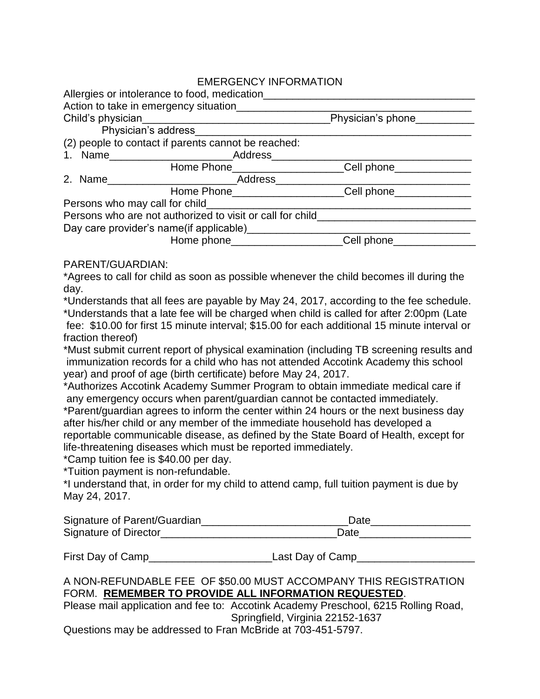# EMERGENCY INFORMATION

| Allergies or intolerance to food, medication                            |                          |  |
|-------------------------------------------------------------------------|--------------------------|--|
| Action to take in emergency situation                                   |                          |  |
| Physician's phone_______<br>Child's physician                           |                          |  |
| Physician's address                                                     |                          |  |
| (2) people to contact if parents cannot be reached:                     |                          |  |
| 1. Name Address                                                         |                          |  |
| Home Phone Management Communication                                     | Cell phone______________ |  |
| 2. Name Address                                                         |                          |  |
|                                                                         |                          |  |
| Persons who may call for child_______                                   |                          |  |
| Persons who are not authorized to visit or call for child______________ |                          |  |
| Day care provider's name(if applicable)                                 |                          |  |
| Home phone______________________                                        | Cell phone_              |  |

## PARENT/GUARDIAN:

\*Agrees to call for child as soon as possible whenever the child becomes ill during the day.

\*Understands that all fees are payable by May 24, 2017, according to the fee schedule. \*Understands that a late fee will be charged when child is called for after 2:00pm (Late fee: \$10.00 for first 15 minute interval; \$15.00 for each additional 15 minute interval or fraction thereof)

\*Must submit current report of physical examination (including TB screening results and immunization records for a child who has not attended Accotink Academy this school year) and proof of age (birth certificate) before May 24, 2017.

\*Authorizes Accotink Academy Summer Program to obtain immediate medical care if any emergency occurs when parent/guardian cannot be contacted immediately.

\*Parent/guardian agrees to inform the center within 24 hours or the next business day after his/her child or any member of the immediate household has developed a reportable communicable disease, as defined by the State Board of Health, except for life-threatening diseases which must be reported immediately.

\*Camp tuition fee is \$40.00 per day.

\*Tuition payment is non-refundable.

\*I understand that, in order for my child to attend camp, full tuition payment is due by May 24, 2017.

| Signature of Parent/Guardian | Date |
|------------------------------|------|
| Signature of Director        | Date |

First Day of Camp\_\_\_\_\_\_\_\_\_\_\_\_\_\_\_\_\_\_\_\_\_Last Day of Camp\_\_\_\_\_\_\_\_\_\_\_\_\_\_\_\_\_\_\_\_

# A NON-REFUNDABLE FEE OF \$50.00 MUST ACCOMPANY THIS REGISTRATION FORM. **REMEMBER TO PROVIDE ALL INFORMATION REQUESTED**.

Please mail application and fee to: Accotink Academy Preschool, 6215 Rolling Road, Springfield, Virginia 22152-1637

Questions may be addressed to Fran McBride at 703-451-5797.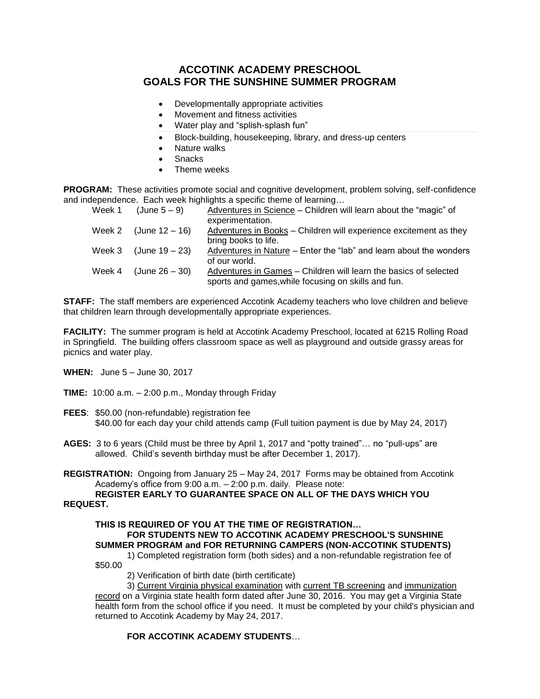# **ACCOTINK ACADEMY PRESCHOOL GOALS FOR THE SUNSHINE SUMMER PROGRAM**

- Developmentally appropriate activities
- Movement and fitness activities
- Water play and "splish-splash fun"
- Block-building, housekeeping, library, and dress-up centers
- Nature walks
- **Snacks**
- Theme weeks

**PROGRAM:** These activities promote social and cognitive development, problem solving, self-confidence and independence. Each week highlights a specific theme of learning…

|        | Week 1 $(June 5-9)$     | Adventures in Science – Children will learn about the "magic" of   |
|--------|-------------------------|--------------------------------------------------------------------|
|        |                         | experimentation.                                                   |
|        | Week 2 $(June 12 – 16)$ | Adventures in Books - Children will experience excitement as they  |
|        |                         | bring books to life.                                               |
| Week 3 | (June 19 – 23)          | Adventures in Nature – Enter the "lab" and learn about the wonders |
|        |                         | of our world.                                                      |
| Week 4 | (June 26 – 30)          | Adventures in Games - Children will learn the basics of selected   |
|        |                         | sports and games, while focusing on skills and fun.                |

**STAFF:** The staff members are experienced Accotink Academy teachers who love children and believe that children learn through developmentally appropriate experiences.

**FACILITY:** The summer program is held at Accotink Academy Preschool, located at 6215 Rolling Road in Springfield. The building offers classroom space as well as playground and outside grassy areas for picnics and water play.

**WHEN:** June 5 – June 30, 2017

- **TIME:** 10:00 a.m. 2:00 p.m., Monday through Friday
- **FEES**: \$50.00 (non-refundable) registration fee \$40.00 for each day your child attends camp (Full tuition payment is due by May 24, 2017)
- **AGES:** 3 to 6 years (Child must be three by April 1, 2017 and "potty trained"… no "pull-ups" are allowed. Child's seventh birthday must be after December 1, 2017).
- **REGISTRATION:** Ongoing from January 25 May 24, 2017 Forms may be obtained from Accotink Academy's office from 9:00 a.m. – 2:00 p.m. daily. Please note:

### **REGISTER EARLY TO GUARANTEE SPACE ON ALL OF THE DAYS WHICH YOU REQUEST.**

## **THIS IS REQUIRED OF YOU AT THE TIME OF REGISTRATION… FOR STUDENTS NEW TO ACCOTINK ACADEMY PRESCHOOL'S SUNSHINE SUMMER PROGRAM and FOR RETURNING CAMPERS (NON-ACCOTINK STUDENTS)**

1) Completed registration form (both sides) and a non-refundable registration fee of \$50.00

2) Verification of birth date (birth certificate)

3) Current Virginia physical examination with current TB screening and immunization record on a Virginia state health form dated after June 30, 2016. You may get a Virginia State health form from the school office if you need. It must be completed by your child's physician and returned to Accotink Academy by May 24, 2017.

## **FOR ACCOTINK ACADEMY STUDENTS**…